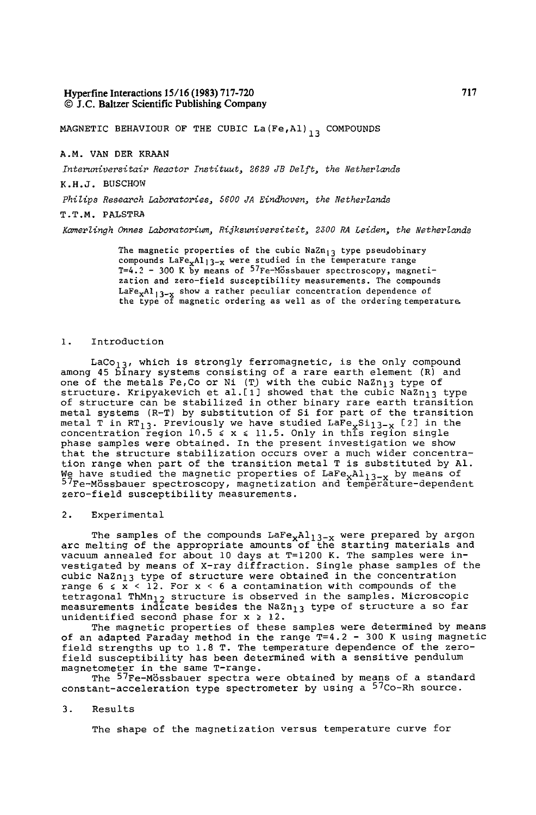## **Hyperfine Interactions 15/16 (1983) 717-720**  9 J.C. Baltzer Scientific Publishing Company

MAGNETIC BEHAVIOUR OF THE CUBIC La(Fe, Al)<sub>13</sub> COMPOUNDS

# A.M. VAN DER KRAAN

Interuniversitair Reactor Instituut, 2629 JB Delft, the Netherlands

K.H.J. BUSCHOW

*Philips Research Laboratories, 5600 JA Eindhoven, the Netherlands* 

## T.T.M. PALSTRA

*Komerlingh Onnes Laboratorium, Rijksuniversiteit, 2300 RA Leiden, the Netherlands* 

The magnetic properties of the cubic  $NaZn_{13}$  type pseudobinary compounds LaFe $_{\rm x}$ Al $_{\rm 13-x}$  were studied in the temperature range T=4.2 - 300 K by means of <sup>J</sup>'Fe-Mossbauer spectroscopy, magnetization and zero-field susceptibility measurements. The compounds LaFe<sub>x</sub>Al<sub>l3-x</sub> show a rather peculiar concentration dependence of the type of magnetic ordering as well as of the ordering temperature.

#### i. Introduction

LaCo<sub>13</sub>, which is strongly ferromagnetic, is the only compound among 45 binary systems consisting of a rare earth element (R) and one of the metals Fe,Co or Ni (T) with the cubic NaZn<sub>l3</sub> type of structure. Kripyakevich et al.[1] showed that the cubic NaZn<sub>l3</sub> type of structure can be stabilized in other binary rare earth transition metal systems (R-T) by substitution of Si for part of the transition metal T in RT<sub>13</sub>. Previously we have studied Lare<sub>x</sub>Si<sub>l3-x</sub> [2] in the<br>concentration region 10.5 < x < 11.5. Only in this region single phase samples were obtained. In the present investigation we show that the structure stabilization occurs over a much wider concentration range when part of the transition metal T is substituted by AI. We have studied the magnetic properties of LaFe<sub>x</sub>Al<sub>l3-x</sub> by means of<br><sup>57</sup>Fe-Mössbauer spectroscopy, magnetization and temperature-dependent zero-field susceptibility measurements.

#### 2. Experimental

The samples of the compounds LaFe<sub>x</sub>Al<sub>13-x</sub> were prepared by argon arc melting of the appropriate amounts of the starting materials and vacuum annealed for about i0 days at T=1200 K. The samples were investigated by means of X-ray diffraction. Single phase samples of the cubic NaZn<sub>13</sub> type of structure were obtained in the concentration range  $6 \le x \le 12$ . For  $x \le 6$  a contamination with compounds of the tetragonal ThMn<sub>l2</sub> structure is observed in the samples. Microscopic measurements indicate besides the NaZn<sub>l3</sub> type of structure a so far unidentified second phase for  $x \geq 12$ .

The magnetic properties of these samples were determined by means of an adapted Faraday method in the range T=4.2 - 300 K using magnetic field strengths up to 1.8 T. The temperature dependence of the zerofield susceptibility has been determined with a sensitive pendulum

magnetometer in the same T-range.<br>The <sup>57</sup>Fe-Mössbauer spectra were obtained by means of a standard constant-acceleration type spectrometer by using a 57Co-Rh source.

#### 3. Results

The shape of the magnetization versus temperature curve for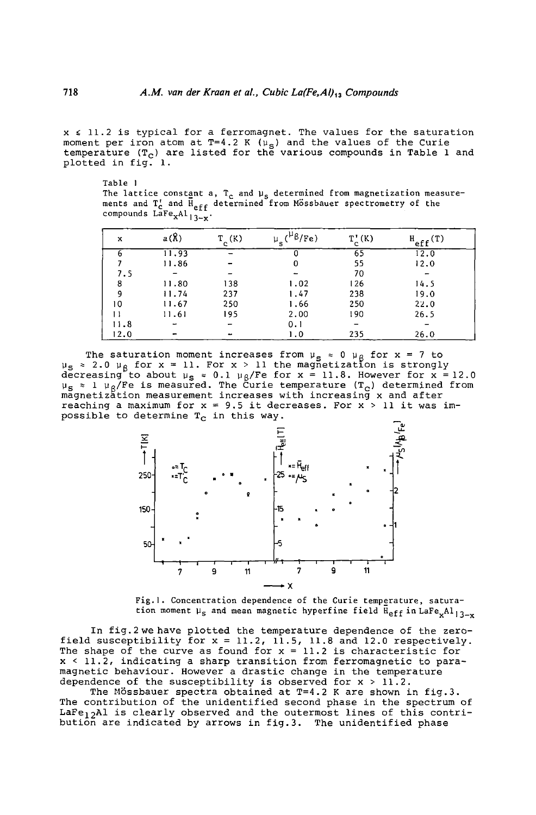$x \leq 11.2$  is typical for a ferromagnet. The values for the saturation moment per iron atom at T=4.2 K ( $\mu_{\rm s}$ ) and the values of the Curie temperature  $(T_c)$  are listed for the various compounds in Table 1 and plotted in fig. I.

Table 1 The lattice const<u>a</u>nt a, T<sub>c</sub> and µ<sub>s</sub> determined from magnetization measurements and T<sub>c</sub> and H<sub>eff</sub> determined from Mossbauer spectrometry of the compounds  $L\overline{a}Fe_{X}Al_{13-x}$ .

| x    | a(R)                     | $T_c(K)$ | $({}^{\mu}$ $\beta$ /Fe)<br>$\mu_{\bf s}$ | $T_c^{\dagger}(K)$ | $H_{eff}(T)$ |
|------|--------------------------|----------|-------------------------------------------|--------------------|--------------|
|      | 11.93                    |          |                                           | 65                 | 12.0         |
|      | 11.86                    |          | 0                                         | 55                 | 12.0         |
| 7.5  |                          |          |                                           | 70                 |              |
| 8    | 11.80                    | 138      | 1.02                                      | 126                | 14.5         |
| 9    | 11.74                    | 237      | 1.47                                      | 238                | 19.0         |
| 10   | 11.67                    | 250      | 1.66                                      | 250                | 22.0         |
|      | 11.61                    | 195      | 2.00                                      | 190                | 26.5         |
| 11.8 | $\overline{\phantom{a}}$ |          | 0.1                                       |                    |              |
| 12.0 |                          |          | 1.0                                       | 235                | 26.0         |

The saturation moment increases from  $\mu_{\bf g}$   $\approx$  0  $\mu_{\cal B}$  for x = 7 to  $\upmu_{\bf S}$   $\approx$  2.0  $\upmu_{\bf R}$  for  ${\bf x}$   $\approx$  11. For  ${\bf x}$   $\gt$  11 the magnetization is strongly decreasing to about  $\mu_{\mathbf{S}}$  = 0.1  $\mu_{\mathsf{B}}$ /Fe for  $\mathbf{x}$  = 11.8. However for  $\mathbf{x}$  = 12.0  $_{\tt S}$   $\scriptstyle\rm \times$  1  $\mu_{\sf R}$ /Fe is measured. The Curie temperature (T $_{\tt C}$ ) determined from magnetization measurement increases with increasing x and after reaching a maximum for  $x = 9.5$  it decreases. For  $x > 11$  it was impossible to determine  $T_c$  in this way.



Fig. l. Concentration dependence of the Curie temperature, saturation moment  $\mu_s$  and mean magnetic hyperfine field  $\bar{H}_{eff}$  in LaFe<sub>x</sub>Al<sub>13-x</sub>

In fig.2we have plotted the temperature dependence of the zerofield susceptibility for x = 11.2, 11.5, 11.8 and 12.0 respectively. The shape of the curve as found for x = 11.2 is characteristic for x < 11.2, indicating a sharp transition from ferromagnetic to paramagnetic behaviour. However a drastic change in the temperature dependence of the susceptibility is observed for  $x > 11.2$ .

The Mössbauer spectra obtained at  $T=4.2$  K are shown in fig.3. The contribution of the unidentified second phase in the spectrum of LaFe<sub>12</sub>Al is clearly observed and the outermost lines of this contribution are indicated by arrows in fig.3. The unidentified phase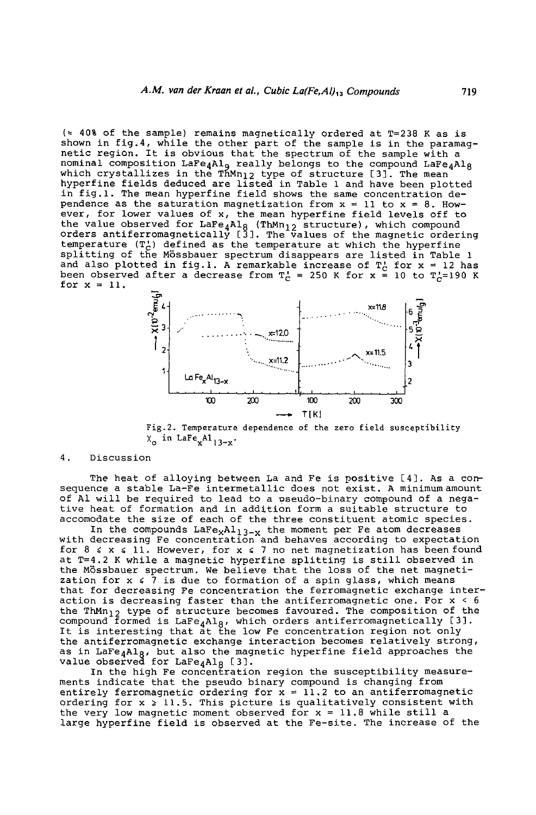$\approx$  40% of the sample) remains magnetically ordered at T=238 K as is shown in fig.4, while the other part of the sample is in the paramagnetic region. It is obvious that the spectrum of the sample with a nominal composition Lare $_\mathtt{AAlg}$  really belongs to the compound LaFe $_\mathtt{AAlg}$ which crystallizes in the ThMn $_{12}$  type of structure [3]. The mean hyperfine fields deduced are listed in Table 1 and have been plotted in fig.l. The mean hyperfine field shows the same concentration dependence as the saturation magnetization from  $x = 11$  to  $x = 8$ . How-<br>ever, for lower values of x, the mean hyperfine field levels off to ever, for lower values of x, the mean hyperfine field levels off to the value observed for LaFe $_4$ Al $_8$  (ThMn $_{12}$  structure), which compound orders antiferromagnetically [3]. The values of the magnetic ordering temperature (T~) defined as the temperature at which the hyperfine splitting of the Mossbauer spectrum disappears are listed in Table 1 and also plotted in fig.1. A remarkable increase of  $\mathbb{T}_{\mathbb{C}}^1$  for  $\mathsf{x}$  = 12 has been observed after a decrease from T $_c$  = 250 K for x = 10 to T $_{c}$ =190 K for  $x = 11$ .



Fig.2. Temperature dependence of the zero field susceptibility  $X_0$  in LaFe<sub>x</sub>Al<sub>13-x</sub>.

4. Discussion

The heat of alloying between La and Fe is positive [4]. As a consequence a stable La-Fe intermetallic does not exist. A minimum amount of A1 will be required to lead to a pseudo-binary compound of a negative heat of formation and in addition form a suitable structure to accomodate the size of each of the three constituent atomic species.

In the compounds  $\text{LaFe}_X \text{Al}_{13-x}$  the moment per Fe atom decreases with decreasing Fe concentration and behaves according to expectation for  $8 \le x \le 11$ . However, for  $x \le 7$  no net magnetization has been found at T=4.2 K while a magnetic hyperfine splitting is still observed in the Mossbauer spectrum. We believe that the loss of the net magneti zation for x  $\leqslant$  7 is due to formation of a spin glass, which means that for decreasing Fe concentration the ferromagnetic exchange interaction is decreasing faster than the antiferromagnetic one. For x < 6 the ThMn<sub>l2</sub> type of structure becomes favoured. The composition of the compound formed is  $\mathtt{LaFe_{4}Al_{B}}$ , which orders antiferromagnetically [3]. It is interesting that at the low Fe concentration region not only the antiferromagnetic exchange interaction becomes relatively strong, as in LaFe<sub>4</sub>Al<sub>R</sub>, but also the magnetic hyperfine field approaches the value observed for  $\texttt{LaFe}_4\texttt{Al}_R$  [3].

In the high Fe concentration region the susceptibility measurements indicate that the pseudo binary compound is changing from entirely ferromagnetic ordering for  $x = 11.2$  to an antiferromagnetic ordering for  $x \ge 11.5$ . This picture is qualitatively consistent with the very low magnetic moment observed for  $x = 11.8$  while still a large hyperfine field is observed at the Fe-site. The increase of the